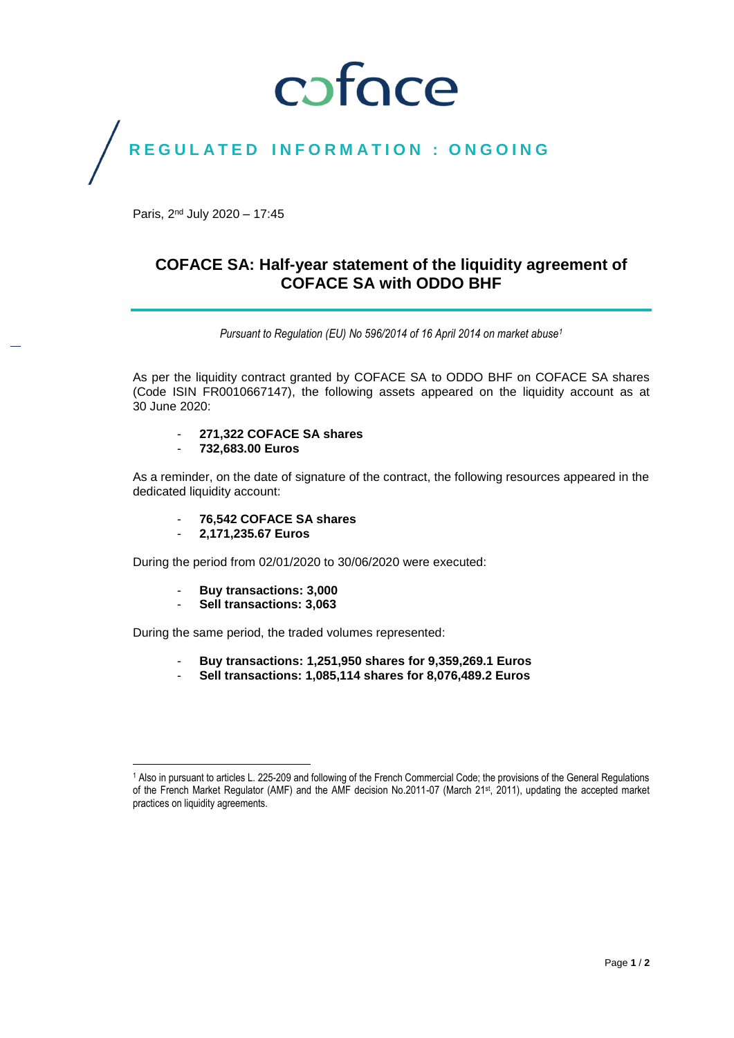## coface

### REGULATED INFORMATION : ONGOING

Paris, 2<sup>nd</sup> July 2020 - 17:45

### **COFACE SA: Half-year statement of the liquidity agreement of COFACE SA with ODDO BHF**

*Pursuant to Regulation (EU) No 596/2014 of 16 April 2014 on market abuse<sup>1</sup>*

As per the liquidity contract granted by COFACE SA to ODDO BHF on COFACE SA shares (Code ISIN FR0010667147), the following assets appeared on the liquidity account as at 30 June 2020:

- **271,322 COFACE SA shares**
- **732,683.00 Euros**

As a reminder, on the date of signature of the contract, the following resources appeared in the dedicated liquidity account:

- **76,542 COFACE SA shares**
- **2,171,235.67 Euros**

During the period from 02/01/2020 to 30/06/2020 were executed:

- **Buy transactions: 3,000**
- **Sell transactions: 3,063**

During the same period, the traded volumes represented:

- **Buy transactions: 1,251,950 shares for 9,359,269.1 Euros**
- **Sell transactions: 1,085,114 shares for 8,076,489.2 Euros**

 $\overline{\phantom{a}}$ <sup>1</sup> Also in pursuant to articles L. 225-209 and following of the French Commercial Code; the provisions of the General Regulations of the French Market Regulator (AMF) and the AMF decision No.2011-07 (March 21st, 2011), updating the accepted market practices on liquidity agreements.